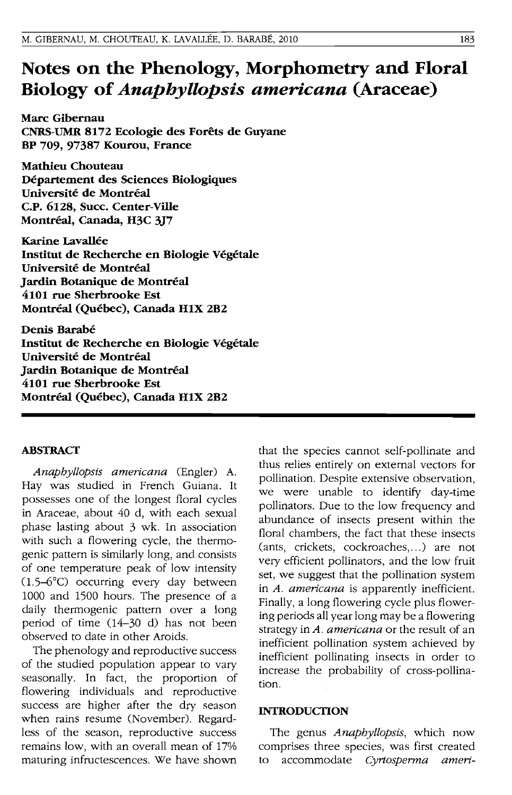# **Notes on the Phenology, Morphometry and Floral Biology of** *Anaphyllopsis americana* **(Araceae)**

**Marc Gibernau CNRS-UMR 8172 Ecologie des Forets de Guyane BP 709, 97387** Kourou~ **France** 

**Mathieu Chouteau Departement des Sciences Biologiques Universite de Montreal C.P. 6128, Succ. Center-Ville Montreal, Canada, H3C 3}7** 

**Karlne Lavallee Institut de Recherche en Biologie Vegetale Universite de Montreal Jardin Botanique de Montreal 4101 rue Sherbrooke Est Montreal (Quebec), Canada HIX 2B2** 

**Denis Barabe Institut de Recherche en Biologie Vegetale Universite de Montreal Jardin Botanique de Montreal 4101 rue Sherbrooke Est Montreal (Quebec), Canada HIX 2B2** 

#### **ABSTRACf**

*Anapbyllopsis americana* (Engler) A. Hay was studied in French Guiana. It possesses one of the longest floral cycles in Araceae, about 40 d, with each sexual phase lasting about 3 wk. In association with such a flowering cycle, the thermogenic pattern is Similarly long, and consists of one temperature peak of low intensity (1.5-6°C) occurring every day between 1000 and 1500 hours. The presence of a daily thermogenic pattern over a long period of time (14-30 d) has not been observed to date in other Aroids.

The phenology and reproductive success of the studied population appear to vary seasonally. In fact, the proportion of flowering individuals and reproductive success are higher after the dry season when rains resume (November). Regardless of the season, reproductive success remains low, with an overall mean of 17% maturing infructescences. We have shown

that the species cannot self-pollinate and thus relies entirely on external vectors for pollination. Despite extensive observation, we were unable to identify day-time pollinators. Due to the low frequency and abundance of insects present within the floral chambers, the fact that these insects (ants, crickets, cockroaches, ...) are not very efficient pollinators, and the low fruit set, we suggest that the pollination system in *A. americana* is apparently inefficient. Finally, a long flowering cycle plus flowering periods all year long may be a flowering strategy in *A. americana* or the result of an inefficient pollination system achieved by inefficient pollinating insects in order to increase the probability of cross-pollination.

#### **INTRODUCTION**

The genus *Anapbyllopsis,* which now comprises three species, was first created to accommodate *Cyrtosperma ameri-*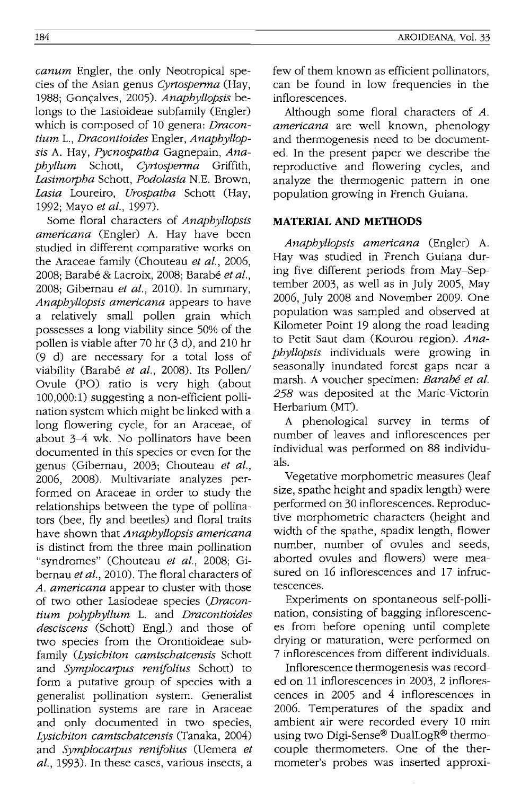*canum* Engler, the only Neotropical species of the Asian genus *Cyrtosperma* (Hay, 1988: Goncalves, 2005). *Anaphyllopsis* belongs to the Lasioideae subfamily (Engler) which is composed of 10 genera: *Dracontium* 1., *Dracontioides* Engler, *Anapbyllopsis* A. Hay, *Pycnospatba* Gagnepain, *Anapbyllum* Schott, *Cyrtosperma* Griffith, *Lasimorpba* Schott, *Podolasia* N.E. Brown, *Lasia* Loureiro, *Urospatba* Schott (Hay, 1992; Mayo *et al., 1997).* 

Some floral characters of *Anapbyllopsis americana* (Engler) A. Hay have been studied in different comparative works on the Araceae family (Chouteau *et al., 2006,*  2008; Barabe & Lacroix, 2008; Barabe *et al.,*  2008; Gibernau *et at.,* 2010). In summary, *Anapbyllopsis americana* appears to have a relatively small pollen grain which possesses a long viability since 50% of the pollen is viable after 70 hr (3 d), and 210 hr (9 d) are necessary for a total loss of viability (Barabé et al., 2008). Its Pollen/ Ovule (PO) ratio is very high (about 100,000:1) suggesting a non-efficient pollination system which might be linked with a long flowering cycle, for an Araceae, of about 3-4 wk. No pollinators have been documented in this species or even for the genus (Gibernau, 2003; Chouteau *et al.,*  2006, 2008). Multivariate analyzes performed on Araceae in order to study the relationships between the type of pollinators (bee, fly and beetles) and floral traits have shown that *Anapbyllopsis americana*  is distinct from the three main pollination "syndromes" (Chouteau *et al.,* 2008; Gibernau *et al.,* 2010). The floral characters of *A. americana* appear to cluster with those of two other Lasiodeae species *(Dracontium polypbyllum* 1. and *Dracontioides desciscens* (Schott) Engl.) and those of two species from the Orontioideae subfamily *(Lysicbiton camtscbatcensis* Schott and *Symplocarpus renifolius* Schott) to form a putative group of species with a generalist pollination system. Generalist pollination systems are rare in Araceae and only documented in two species, *Lysicbiton camtscbatcensis* (Tanaka, 2004) and *Symplocarpus renifolius* (Uemera *et al.,* 1993). In these cases, various insects, a few of them known as efficient pollinators, can be found in low frequencies in the inflorescences.

Although some floral characters of A. *americana* are well known, phenology and thermogenesis need to be documented. In the present paper we describe the reproductive and flowering cycles, and analyze the thermogenic pattern in one population growing in French Guiana.

## **MATERIAL AND METHODS**

*Anapbyllopsis americana* (Engler) A. Hay was studied in French Guiana during five different periods from May-September 2003, as well as in July 2005, May 2006, July 2008 and November 2009. One population was sampled and observed at Kilometer Point 19 along the road leading to Petit Saut dam (Kourou region). *Anapbyllopsis* individuals were growing in seasonally inundated forest gaps near a marsh. A voucher specimen: *Barabe et al.*  258 was deposited at the Marie-Victorin Herbarium (MT).

A phenological survey in terms of number of leaves and inflorescences per individual was performed on 88 individuals.

Vegetative morphometric measures (leaf size, spathe height and spadix length) were performed on 30 inflorescences. Reproductive morphometric characters (height and width of the spathe, spadix length, flower number, number of ovules and seeds, aborted ovules and flowers) were measured on 16 inflorescences and 17 infructescences.

Experiments on spontaneous self-pollination, consisting of bagging inflorescences from before opening until complete drying or maturation, were performed on 7 inflorescences from different individuals.

Inflorescence thermogenesis was recorded on 11 inflorescences in 2003, 2 inflorescences in 2005 and 4 inflorescences in 2006. Temperatures of the spadix and ambient air were recorded every 10 min using two Digi-Sense® DualLogR® thermocouple thermometers. One of the thermometer's probes was inserted approxi-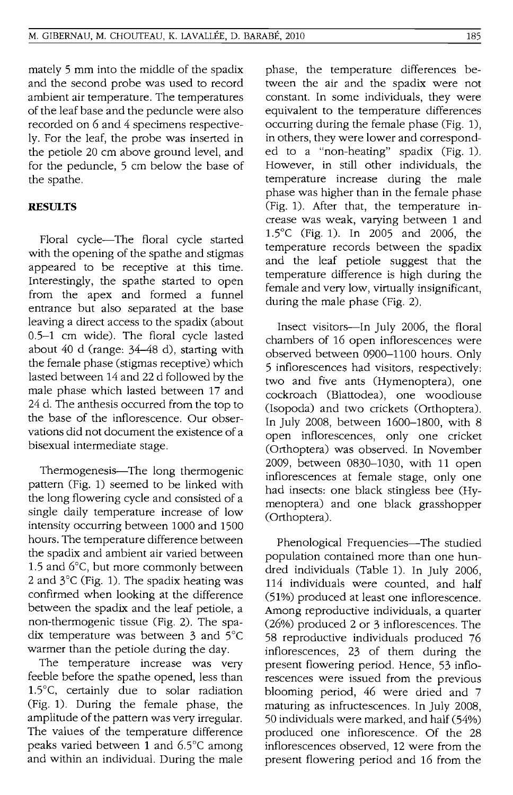mately 5 mm into the middle of the spadix and the second probe was used to record ambient air temperature. The temperatures of the leaf base and the peduncle were also recorded on 6 and 4 specimens respectively. For the leaf, the probe was inserted in the petiole 20 cm above ground level, and for the peduncle, 5 cm below the base of the spathe.

## **RESULTS**

Floral cycle-The floral cycle started with the opening of the spathe and stigmas appeared to be receptive at this time. Interestingly, the spathe started to open from the apex and formed a funnel entrance but also separated at the base leaving a direct access to the spadix (about 0.5-1 cm wide). The floral cycle lasted about 40 d (range: 34-48 d), starting with the female phase (stigmas receptive) which lasted between 14 and 22 d followed by the male phase which lasted between 17 and 24 d. The anthesis occurred from the top to the base of the inflorescence. Our observations did not document the existence of a bisexual intermediate stage.

Thermogenesis—The long thermogenic pattern (Fig. 1) seemed to be linked with the long flowering cycle and consisted of a single daily temperature increase of low intensity occurring between 1000 and 1500 hours. The temperature difference between the spadix and ambient air varied between 1.5 and 6°C, but more commonly between 2 and 3°C (Fig. 1). The spadix heating was confirmed when looking at the difference between the spadix and the leaf petiole, a non-thermogenic tissue (Fig. 2). The spadix temperature was between 3 and 5°C warmer than the petiole during the day.

The temperature increase was very feeble before the spathe opened, less than 1.5°C, certainly due to solar radiation (Fig. 1). During the female phase, the amplitude of the pattern was very irregular. The values of the temperature difference peaks varied between 1 and 6.5°c among and within an individual. During the male

phase, the temperature differences between the air and the spadix were not constant. In some individuals, they were equivalent to the temperature differences occurring during the female phase (Fig. 1), in others, they were lower and corresponded to a "non-heating" spadix (Fig. 1). However, in still other individuals, the temperature increase during the male phase was higher than in the female phase (Fig. 1). After that, the temperature increase was weak, varying between 1 and 1.5°C (Fig. 1). In 2005 and 2006, the temperature records between the spadix and the leaf petiole suggest that the temperature difference is high during the female and very low, virtually insignificant, during the male phase (Fig. 2).

Insect visitors-In July 2006, the floral chambers of 16 open inflorescences were observed between 0900-1100 hours. Only 5 inflorescences had visitors, respectively: two and five ants (Hymenoptera), one cockroach (Blattodea), one woodlouse (Isopoda) and two crickets (Orthoptera). In July 2008, between 1600-1800, with 8 open inflorescences, only one cricket (Orthoptera) was observed. In November 2009, between 0830-1030, with 11 open inflorescences at female stage, only one had insects: one black stingless bee (Hymenoptera) and one black grasshopper (Orthoptera).

Phenological Frequencies-The studied population contained more than one hundred individuals (Table 1). In July 2006, 114 individuals were counted, and half (51%) produced at least one inflorescence. Among reproductive individuals, a quarter (26%) produced 2 or 3 inflorescences. The 58 reproductive individuals produced 76 inflorescences, 23 of them during the present flowering period. Hence, 53 inflorescences were issued from the previous blooming period, 46 were dried and 7 maturing as infructescences. In July 2008, 50 individuals were marked, and half (54%) produced one inflorescence. Of the 28 inflorescences observed, 12 were from the present flowering period and 16 from the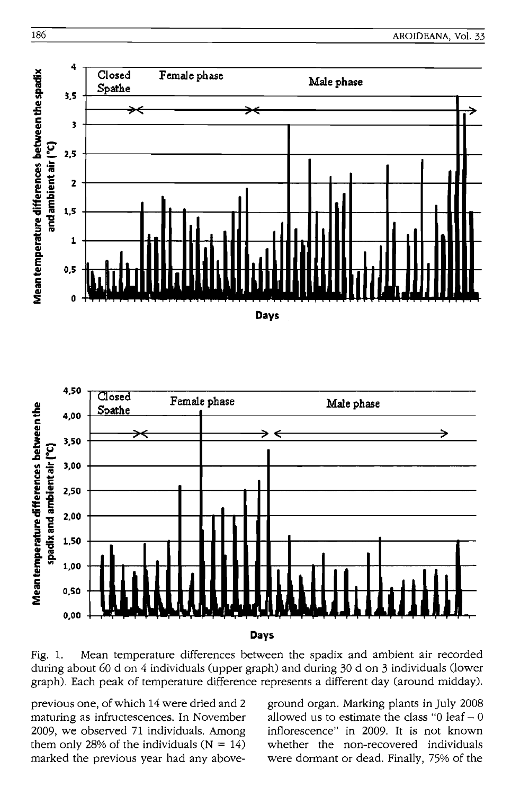



Fig. 1. Mean temperature differences between the spadix and ambient air recorded during about 60 d on 4 individuals (upper graph) and during 30 d on 3 individuals (lower graph). Each peak of temperature difference represents a different day (around midday).

previous one, of which 14 were dried and 2 maturing as infructescences. **In** November 2009, we observed 71 individuals. Among them only 28% of the individuals  $(N = 14)$ marked the previous year had any aboveground organ. Marking plants in **July** 200S allowed us to estimate the class " $0$  leaf  $-0$ inflorescence" in 2009. It is not known whether the non-recovered individuals were dormant or dead. Finally, 75% of the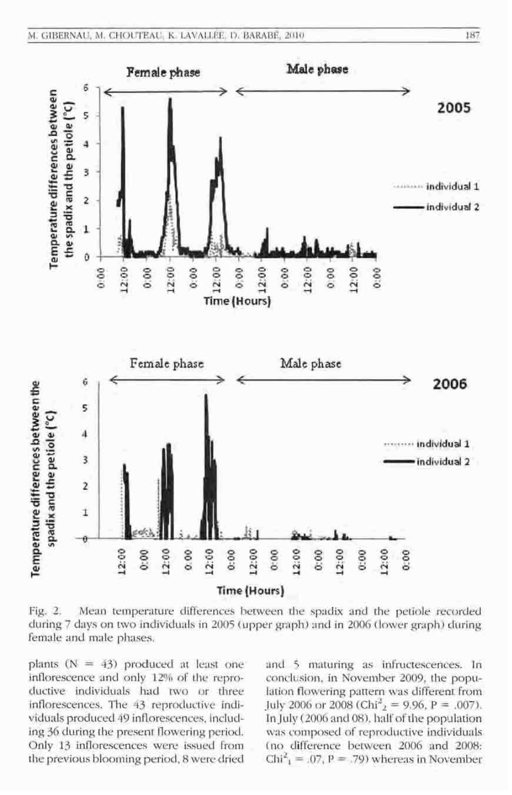

Fig. 2. Mean temperature differences between the spadix and the petiole recorded during 7 days on two individuals in 2005 (upper graph) and in 2006 (lower graph) during female and male phases.

plants  $(N = 43)$  produced at least one inflorescence and only 12% of the reproductive individuals had two or three inflorescences. The 43 reproductive individuals produced 49 inflorescences, including 36 during the present flowering period. Only 13 inflorescences were issued from the previous blooming period, 8 were dried

and 5 maturing as infructescences. In conclusion, in November 2009, the population flowering pattern was different from diton noweing pattern was directed from In July (2006 and 08), half of the population was composed of reproductive individuals (no difference between 2006 and 2008:  $Chi_1^2 = .07$ ,  $P = .79$ ) whereas in November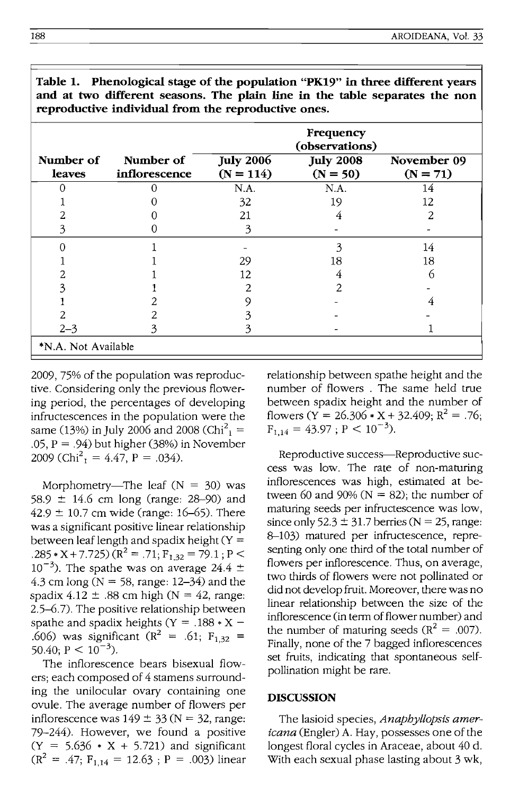|                     |                            | Frequency<br>(observations)     |                                |                           |
|---------------------|----------------------------|---------------------------------|--------------------------------|---------------------------|
| Number of<br>leaves | Number of<br>inflorescence | <b>July 2006</b><br>$(N = 114)$ | <b>July 2008</b><br>$(N = 50)$ | November 09<br>$(N = 71)$ |
| Ω                   |                            | N.A.                            | N.A.                           | 14                        |
|                     |                            | 32                              | 19                             | 12                        |
|                     |                            | 21                              |                                | 2                         |
|                     |                            | 3                               |                                |                           |
|                     |                            |                                 | 3                              | 14                        |
|                     |                            | 29                              | 18                             | 18                        |
|                     |                            | 12                              | 4                              | რ                         |
|                     |                            | 2                               | 2                              |                           |
|                     |                            | O)                              |                                |                           |
|                     |                            |                                 |                                |                           |
| $2 - 3$             | 3                          | 3                               |                                |                           |
| *N.A. Not Available |                            |                                 |                                |                           |

**Table 1. Phenological stage of the population "PK19" in three different years and at two different seasons. The plain line in the table separates the non reproductive individual from the reproductive ones.** 

2009, 75% of the population was reproductive. Considering only the previous flowering period, the percentages of developing infructescences in the population were the same (13%) in July 2006 and 2008 (Chi<sup>2</sup><sub>1</sub> = .05,  $P = .94$ ) but higher (38%) in November 2009 (Chi<sup>2</sup><sub>1</sub> = 4.47, P = .034).

Morphometry—The leaf  $(N = 30)$  was 58.9 ± 14.6 cm long (range: 28-90) and  $42.9 \pm 10.7$  cm wide (range: 16–65). There was a significant positive linear relationship between leaf length and spadix height  $(Y =$ .285 \* X + 7.725)  $(R^2 = .71; F_{1,32} = 79.1; P <$  $10^{-3}$ ). The spathe was on average 24.4  $\pm$ 4.3 cm long ( $N = 58$ , range: 12–34) and the spadix  $4.12 \pm .88$  cm high (N = 42, range: 2.5-6.7). The positive relationship between spathe and spadix heights ( $Y = .188 \times X$  – 606) was significant ( $R^2 = .61$ ;  $F_{1,32} = 0.40$ ;  $P < 10^{-3}$ ).

The inflorescence bears bisexual flowers; each composed of 4 stamens surrounding the unilocular ovary containing one ovule. The average number of flowers per inflorescence was  $149 \pm 33$  (N = 32, range: 79-244). However, we found a positive  $(Y = 5.636 * X + 5.721)$  and significant  $(R^2 = 47; F_{1.14} = 12.63; P = .003)$  linear relationship between spathe height and the number of flowers . The same held true between spadix height and the number of flowers ( $\overline{Y}$  = 26.306  $\overline{Y}$  x + 32.409;  $R^2$  = .76;  $F_{1,14} = 43.97$ ;  $P < 10^{-3}$ ).

Reproductive success---Reproductive success was low. The rate of non-maturing inflorescences was high, estimated at between 60 and 90% ( $N = 82$ ); the number of maturing seeds per infructescence was low, since only  $52.3 \pm 31.7$  berries (N = 25, range: 8-103) matured per infructescence, representing only one third of the total number of flowers per inflorescence. Thus, on average, two thirds of flowers were not pollinated or did not develop fruit. Moreover, there was no linear relationship between the size of the inflorescence (in term of flower number) and the number of maturing seeds ( $R^2 = .007$ ). Finally, none of the 7 bagged inflorescences set fruits, indicating that spontaneous selfpollination might be rare.

#### **DISCUSSION**

The lasioid species, *Anapbyllopsis americana* (Engler) A. Hay, possesses one of the longest floral cycles in Araceae, about 40 d. With each sexual phase lasting about 3 wk,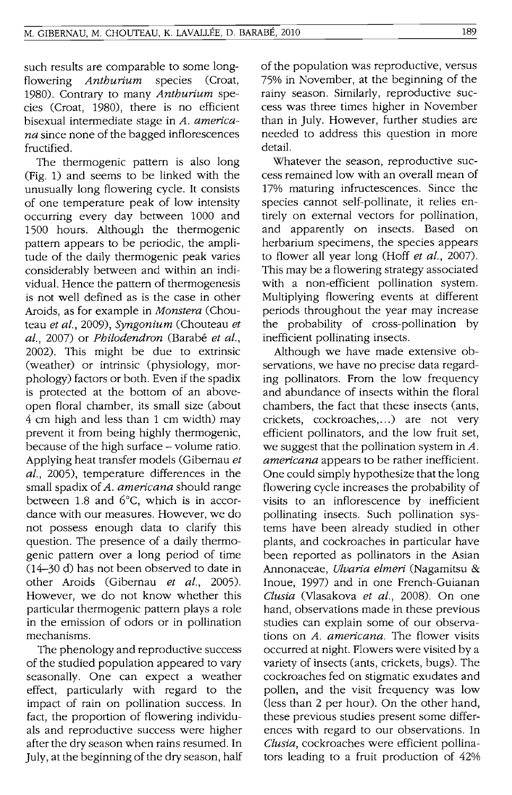such results are comparable to some longflowering *Anthurium* species (Croat, 1980). Contrary to many *Anthurium* species (Croat, 1980), there is no efficient bisexual intermediate stage in *A. americana* since none of the bagged inflorescences fructified.

The thermogenic pattern is also long (Fig. 1) and seems to be linked with the unusually long flowering cycle. It consists of one temperature peak of low intensity occurring every day between 1000 and 1500 hours. Although the thermogenic pattern appears to be periodic, the amplitude of the daily thermogenic peak varies considerably between and within an individual. Hence the pattern of thermogenesis is not well defined as is the case in other Aroids, as for example in *Monstera* (Chouteau *et al.,* 2009), *Syngonium* (Chouteau *et al.,* 2007) or *Philodendron* (Barabe *et al.,*  2002). This might be due to extrinsic (weather) or intrinsic (physiology, morphology) factors or both. Even if the spadix is protected at the bottom of an aboveopen floral chamber, its small size (about 4 cm high and less than 1 cm width) may prevent it from being highly thermogenic, because of the high surface - volume ratio. Applying heat transfer models (Gibernau *et al.,* 2005), temperature differences in the small spadix of A. *americana* should range between 1.8 and 6°C, which is in accordance with our measures. However, we do not possess enough data to clarify this question. The presence of a daily thermogenic pattern over a long period of time (14-30 d) has not been observed to date in other Aroids (Gibernau *et al., 2005).*  However, we do not know whether this particular thermogenic pattern plays a role in the emission of odors or in pollination mechanisms.

The phenology and reproductive success of the studied population appeared to vary seasonally. One can expect a weather effect, particularly with regard to the impact of rain on pollination success. In fact, the proportion of flowering individuals and reproductive success were higher after the dry season when rains resumed. In July, at the beginning of the dry season, half of the population was reproductive, versus 75% in November, at the beginning of the rainy season. Similarly, reproductive success was three times higher in November than in July. However, further studies are needed to address this question in more detail.

Whatever the season, reproductive success remained low with an overall mean of 17% maturing infructescences. Since the species cannot self-pollinate, it relies entirely on' external vectors for pollination, and apparently on insects. Based on herbarium specimens, the species appears to flower all year long (Hoff *et al., 2007).*  This may be a flowering strategy associated with a non-efficient pollination system. Multiplying flowering events at different periods throughout the year may increase the probability of cross-pollination by inefficient pollinating insects.

Although we have made extensive observations, we have no precise data regarding pollinators. From the low frequency and abundance of insects within the floral chambers, the fact that these insects (ants, crickets, cockroaches, ...) are not very efficient pollinators, and the low fruit set, we suggest that the pollination system in *A. americana* appears to be rather inefficient. One could simply hypothesize that the long flowering cycle increases the probability of visits to an inflorescence by inefficient pollinating insects. Such pollination systems have been already studied in other plants, and cockroaches in particular have been reported as pollinators in the Asian Annonaceae, *Ulvaria elmeri* (Nagamitsu & Inoue, 1997) and in one French-Guianan *Clusia* (Vlasakova *et al.,* 2008). On one hand, observations made in these previous studies can explain some of our observations on *A. americana.* The flower visits occurred at night. Flowers were visited by a variety of insects (ants, crickets, bugs). The cockroaches fed on stigmatic exudates and pollen, and the visit frequency was low (less than 2 per hour). On the other hand, these previous studies present some differences with regard to our observations. In *Clusia,* cockroaches were efficient pollinators leading to a fruit production of 42%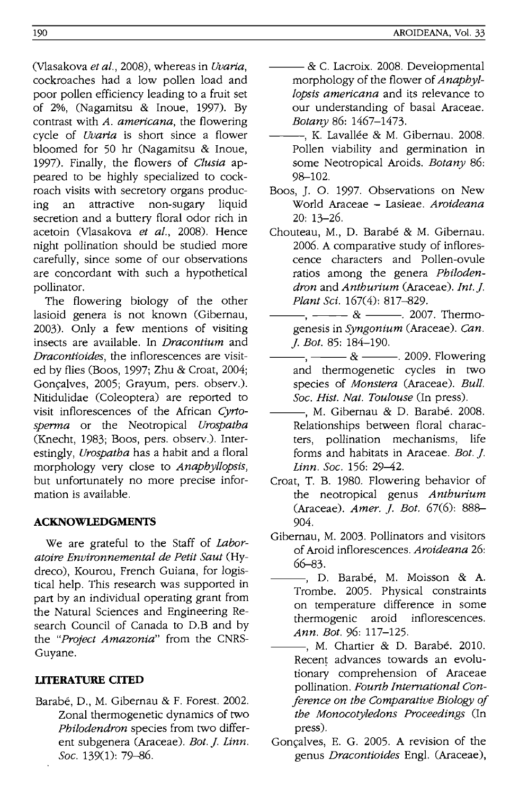(Vlasakova *et al.,* 2008), whereas in *Uvaria,*  cockroaches had a low pollen load and poor pollen efficiency leading to a fruit set of 2%, (Nagamitsu & Inoue, 1997). By contrast with *A. americana,* the flowering cycle of *Uvaria* is short since a flower bloomed for 50 hr (Nagamitsu & Inoue, 1997). Finally, the flowers of *Clusia* appeared to be highly specialized to cockroach visits with secretory organs producing an attractive non-sugary liquid secretion and a buttery floral odor rich in acetoin (Vlasakova *et al.,* 2008). Hence night pollination should be studied more carefully, since some of our observations are concordant with such a hypothetical pollinator.

The flowering biology of the other lasioid genera is not known (Gibernau, 2003). Only a few mentions of visiting insects are available. In *Dracontium* and *Dracontioides,* the inflorescences are visited by flies (Boos, 1997; Zhu & Croat, 2004; Goncalves, 2005; Grayum, pers. observ.). Nitidulidae (Coleoptera) are reported to visit inflorescences of the African *Cyrtosperma* or the Neotropical *Urospatha*  (Knecht, 1983; Boos, pers. observ.). Interestingly, *Urospatha* has a habit and a floral morphology very close to *Anaphyllopsis,*  but unfortunately no more precise information is available.

# **ACKNOWLEDGMENTS**

We are grateful to the Staff of *Laboratoire Environnemental de Petit Saut* (Hydreco), Kourou, French Guiana, for logistical help. This research was supported in part by an individual operating grant from the Natural Sciences and Engineering Research Council of Canada to D.B and by the *"Project Amazonia"* from the CNRS-Guyane.

# **LITERATURE CITED**

Barabe, D., M. Gibernau & F. Forest. 2002. Zonal thermogenetic dynamics of two *Philodendron* species from two different subgenera (Araceae). *Bot.]. Linn. Soc.* 139(1): 79-86.

- & C. Lacroix. 2008. Developmental morphology of the flower of *Anaphyllopsis americana* and its relevance to our understanding of basal Araceae. *Botany* 86: 1467-1473.
- -, K. Lavallée & M. Gibernau. 2008. Pollen viability and germination in some Neotropical Aroids. *Botany 86:*  98-102.
- Boos, J. O. 1997. Observations on New World Araceae - Lasieae. *Aroideana*  20: 13-26.
- Chouteau, M., D. Barabé & M. Gibernau. 2006. A comparative study of inflorescence characters and Pollen-ovule ratios among the genera *Philodendron* and *Anthurium* (Araceae). *Int.]. Plant Sci.* 167(4): 817-829.
- $-$ ,  $\&$   $-$ . 2007. Thermogenesis in *Syngonium* (Araceae). *Can.*  ]. *Bot.* 85: 184-190.
- ---, ---& ---. 2009. Flowering and thermogenetic cycles in two species of *Monstera* (Araceae). *Bull. Soc. Hist. Nat. Toulouse* (In press).
- -, M. Gibernau & D. Barabé. 2008. Relationships between floral characters, pollination mechanisms, life forms and habitats in Araceae. *Bot. j. Linn. Soc.* 156: 29-42.
- Croat, T. B. 1980. Flowering behavior of the neotropical genus *Anthurium*  (Araceae). *Amer.* ]. *Bot.* 67(6): 888- 904.
- Gibernau, M. 2003. Pollinators and visitors of Aroid inflorescences. *Aroideana 26:*  66-83.
	- ---, D. Barabe, M. Moisson & A. Trombe. 2005. Physical constraints on temperature difference in some thermogenic aroid inflorescences. *Ann. Bot.* 96: 117-125.
- -, M. Chartier & D. Barabé. 2010. Recent advances towards an evolutionary comprehension of Araceae pollination. *Fourth International Conference on the Comparative Biology of the Monocotyledons Proceedings* (In press).
- Gonçalves, E. G. 2005. A revision of the genus *Dracontioides* Eng!. (Araceae),